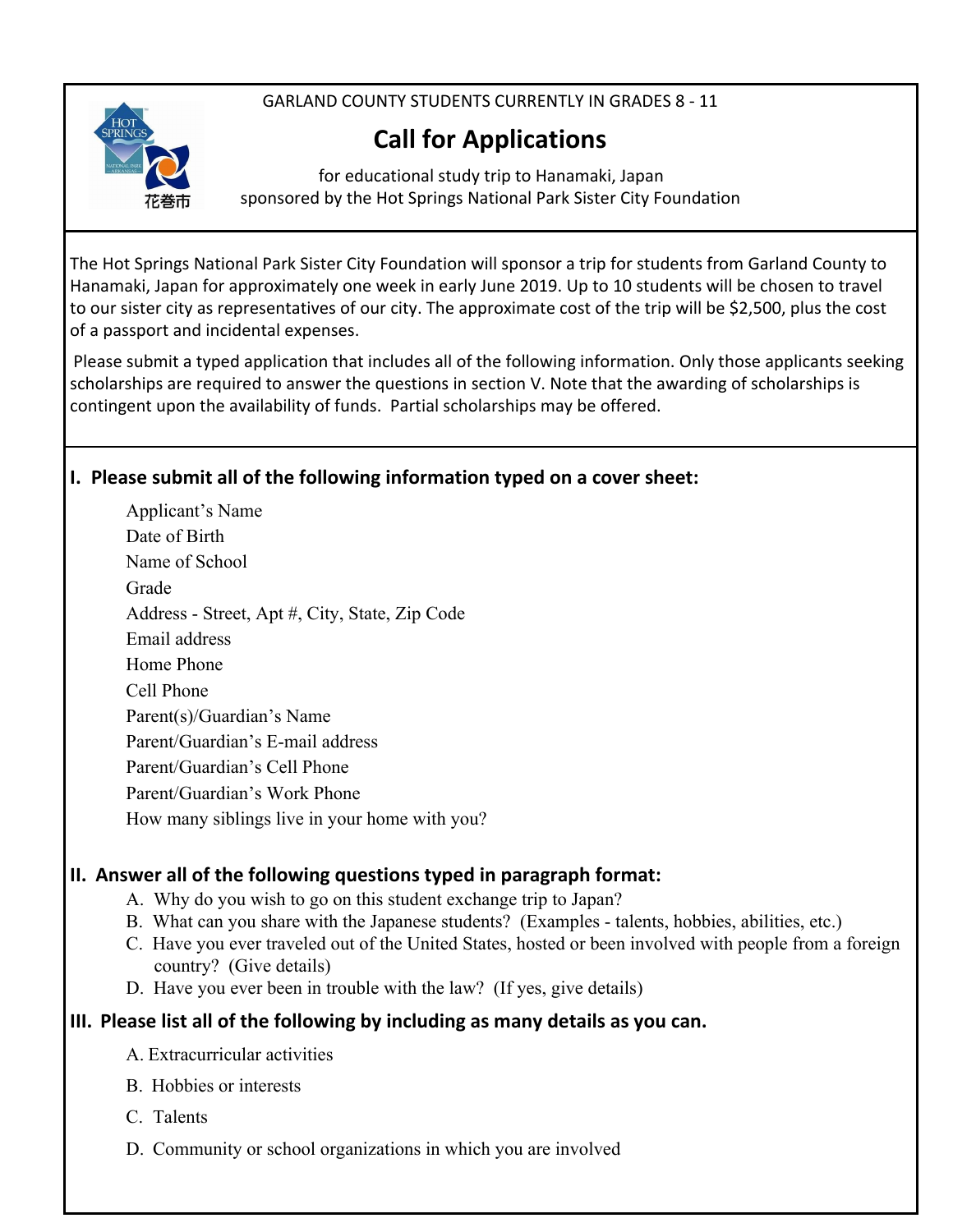GARLAND COUNTY STUDENTS CURRENTLY IN GRADES 8 - 11



# **Call for Applications**

for educational study trip to Hanamaki, Japan sponsored by the Hot Springs National Park Sister City Foundation

The Hot Springs National Park Sister City Foundation will sponsor a trip for students from Garland County to Hanamaki, Japan for approximately one week in early June 2019. Up to 10 students will be chosen to travel to our sister city as representatives of our city. The approximate cost of the trip will be \$2,500, plus the cost of a passport and incidental expenses.

Please submit a typed application that includes all of the following information. Only those applicants seeking scholarships are required to answer the questions in section V. Note that the awarding of scholarships is contingent upon the availability of funds. Partial scholarships may be offered.

## **I. Please submit all of the following information typed on a cover sheet:**

Applicant's Name Date of Birth Name of School Grade Address - Street, Apt #, City, State, Zip Code Email address Home Phone Cell Phone Parent(s)/Guardian's Name Parent/Guardian's E-mail address Parent/Guardian's Cell Phone Parent/Guardian's Work Phone How many siblings live in your home with you?

#### **II. Answer all of the following questions typed in paragraph format:**

- A. Why do you wish to go on this student exchange trip to Japan?
- B. What can you share with the Japanese students? (Examples talents, hobbies, abilities, etc.)
- C. Have you ever traveled out of the United States, hosted or been involved with people from a foreign country? (Give details)
- D. Have you ever been in trouble with the law? (If yes, give details)

## **III. Please list all of the following by including as many details as you can.**

- A. Extracurricular activities
- B. Hobbies or interests
- C. Talents
- D. Community or school organizations in which you are involved